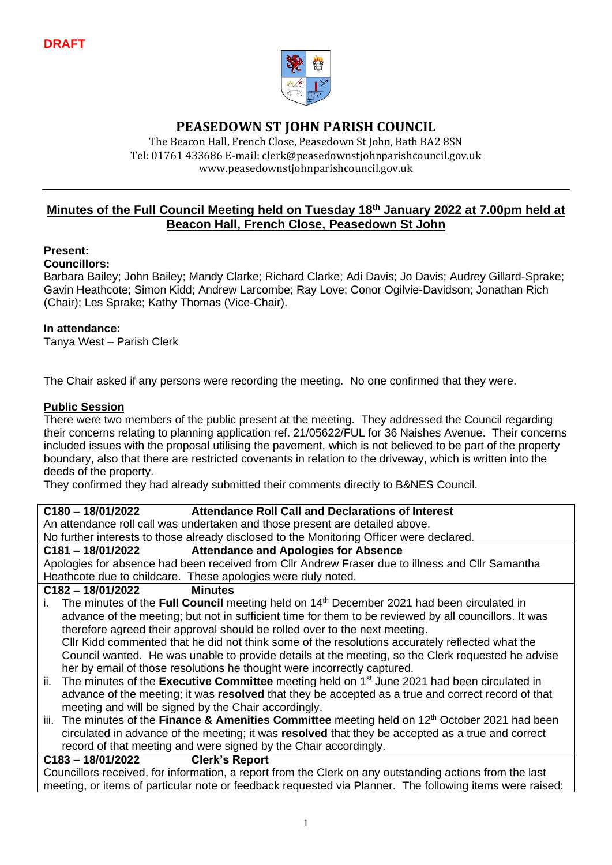

### **PEASEDOWN ST JOHN PARISH COUNCIL**

The Beacon Hall, French Close, Peasedown St John, Bath BA2 8SN Tel: 01761 433686 E-mail: clerk@peasedownstjohnparishcouncil.gov.uk [www.peasedownstjohnparishcouncil.gov.uk](http://www.peasedownstjohnparishcouncil.gov.uk/)

#### **Minutes of the Full Council Meeting held on Tuesday 18th January 2022 at 7.00pm held at Beacon Hall, French Close, Peasedown St John**

#### **Present:**

#### **Councillors:**

Barbara Bailey; John Bailey; Mandy Clarke; Richard Clarke; Adi Davis; Jo Davis; Audrey Gillard-Sprake; Gavin Heathcote; Simon Kidd; Andrew Larcombe; Ray Love; Conor Ogilvie-Davidson; Jonathan Rich (Chair); Les Sprake; Kathy Thomas (Vice-Chair).

#### **In attendance:**

Tanya West – Parish Clerk

The Chair asked if any persons were recording the meeting. No one confirmed that they were.

#### **Public Session**

There were two members of the public present at the meeting. They addressed the Council regarding their concerns relating to planning application ref. 21/05622/FUL for 36 Naishes Avenue. Their concerns included issues with the proposal utilising the pavement, which is not believed to be part of the property boundary, also that there are restricted covenants in relation to the driveway, which is written into the deeds of the property.

They confirmed they had already submitted their comments directly to B&NES Council.

#### **C180 – 18/01/2022 Attendance Roll Call and Declarations of Interest**

An attendance roll call was undertaken and those present are detailed above.

No further interests to those already disclosed to the Monitoring Officer were declared.

#### **C181 – 18/01/2022 Attendance and Apologies for Absence**

Apologies for absence had been received from Cllr Andrew Fraser due to illness and Cllr Samantha Heathcote due to childcare. These apologies were duly noted.

#### **C182 – 18/01/2022 Minutes**

- i. The minutes of the **Full Council** meeting held on 14<sup>th</sup> December 2021 had been circulated in advance of the meeting; but not in sufficient time for them to be reviewed by all councillors. It was therefore agreed their approval should be rolled over to the next meeting. Cllr Kidd commented that he did not think some of the resolutions accurately reflected what the Council wanted. He was unable to provide details at the meeting, so the Clerk requested he advise her by email of those resolutions he thought were incorrectly captured.
- ii. The minutes of the **Executive Committee** meeting held on 1<sup>st</sup> June 2021 had been circulated in advance of the meeting; it was **resolved** that they be accepted as a true and correct record of that meeting and will be signed by the Chair accordingly.
- iii. The minutes of the **Finance & Amenities Committee** meeting held on 12<sup>th</sup> October 2021 had been circulated in advance of the meeting; it was **resolved** that they be accepted as a true and correct record of that meeting and were signed by the Chair accordingly.

#### **C183 – 18/01/2022 Clerk's Report**

Councillors received, for information, a report from the Clerk on any outstanding actions from the last meeting, or items of particular note or feedback requested via Planner. The following items were raised: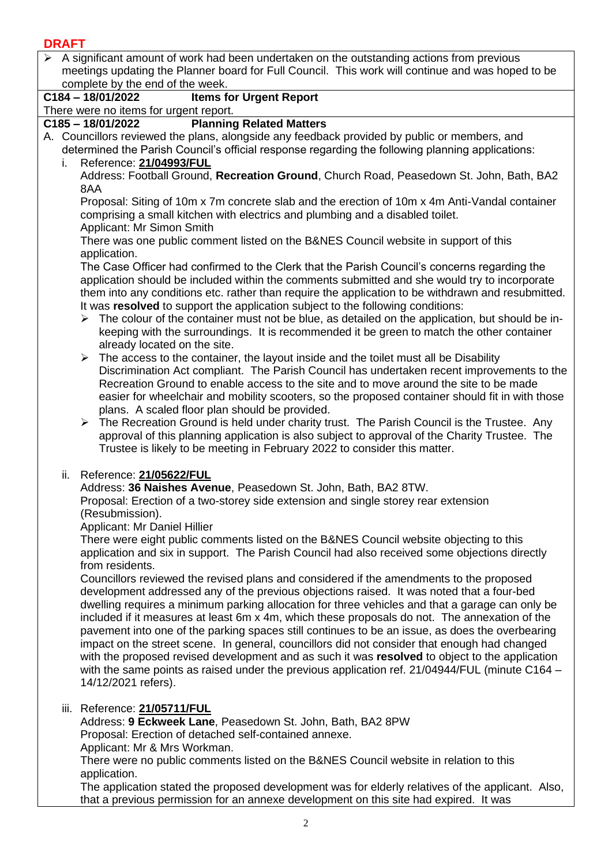$\triangleright$  A significant amount of work had been undertaken on the outstanding actions from previous meetings updating the Planner board for Full Council. This work will continue and was hoped to be complete by the end of the week.

#### **C184 – 18/01/2022 Items for Urgent Report**

There were no items for urgent report.

#### **C185 – 18/01/2022 Planning Related Matters**

- A. Councillors reviewed the plans, alongside any feedback provided by public or members, and determined the Parish Council's official response regarding the following planning applications: i. Reference: **[21/04993/FUL](https://www.bathnes.gov.uk/webforms/planning/details.html?refval=21%2F04993%2FFUL)**
	- Address: Football Ground, **Recreation Ground**, Church Road, Peasedown St. John, Bath, BA2 8AA

Proposal: Siting of 10m x 7m concrete slab and the erection of 10m x 4m Anti-Vandal container comprising a small kitchen with electrics and plumbing and a disabled toilet. Applicant: Mr Simon Smith

There was one public comment listed on the B&NES Council website in support of this application.

The Case Officer had confirmed to the Clerk that the Parish Council's concerns regarding the application should be included within the comments submitted and she would try to incorporate them into any conditions etc. rather than require the application to be withdrawn and resubmitted. It was **resolved** to support the application subject to the following conditions:

- $\triangleright$  The colour of the container must not be blue, as detailed on the application, but should be inkeeping with the surroundings. It is recommended it be green to match the other container already located on the site.
- $\triangleright$  The access to the container, the layout inside and the toilet must all be Disability Discrimination Act compliant. The Parish Council has undertaken recent improvements to the Recreation Ground to enable access to the site and to move around the site to be made easier for wheelchair and mobility scooters, so the proposed container should fit in with those plans. A scaled floor plan should be provided.
- ➢ The Recreation Ground is held under charity trust. The Parish Council is the Trustee. Any approval of this planning application is also subject to approval of the Charity Trustee. The Trustee is likely to be meeting in February 2022 to consider this matter.

#### ii. Reference: **[21/05622/FUL](https://www.bathnes.gov.uk/webforms/planning/details.html?refval=21%2F05622%2FFUL)**

Address: **36 Naishes Avenue**, Peasedown St. John, Bath, BA2 8TW.

Proposal: Erection of a two-storey side extension and single storey rear extension (Resubmission).

Applicant: Mr Daniel Hillier

There were eight public comments listed on the B&NES Council website objecting to this application and six in support. The Parish Council had also received some objections directly from residents.

Councillors reviewed the revised plans and considered if the amendments to the proposed development addressed any of the previous objections raised. It was noted that a four-bed dwelling requires a minimum parking allocation for three vehicles and that a garage can only be included if it measures at least 6m x 4m, which these proposals do not. The annexation of the pavement into one of the parking spaces still continues to be an issue, as does the overbearing impact on the street scene. In general, councillors did not consider that enough had changed with the proposed revised development and as such it was **resolved** to object to the application with the same points as raised under the previous application ref. 21/04944/FUL (minute C164 – 14/12/2021 refers).

#### iii. Reference: **[21/05711/FUL](https://www.bathnes.gov.uk/webforms/planning/details.html?refval=21%2F05711%2FFUL)**

Address: **9 Eckweek Lane**, Peasedown St. John, Bath, BA2 8PW Proposal: Erection of detached self-contained annexe. Applicant: Mr & Mrs Workman.

There were no public comments listed on the B&NES Council website in relation to this application.

The application stated the proposed development was for elderly relatives of the applicant. Also, that a previous permission for an annexe development on this site had expired. It was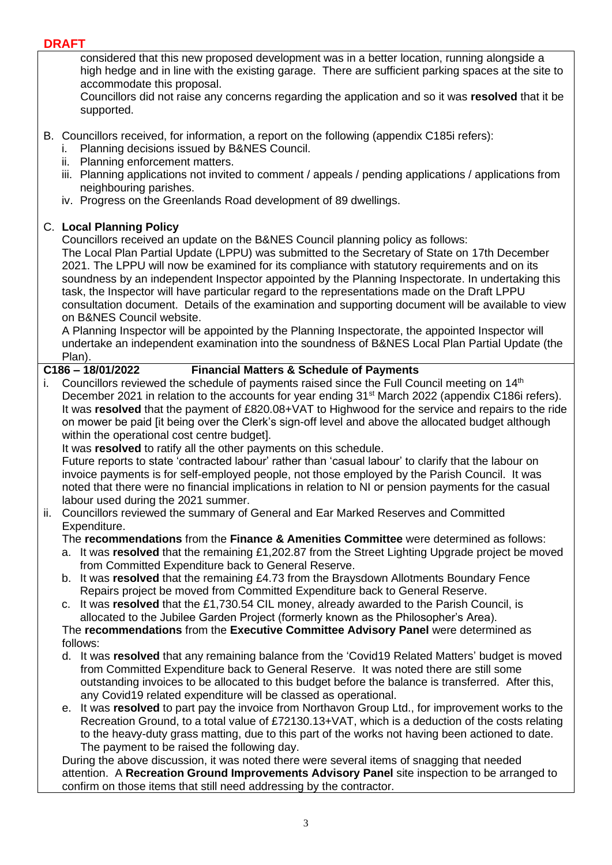considered that this new proposed development was in a better location, running alongside a high hedge and in line with the existing garage. There are sufficient parking spaces at the site to accommodate this proposal.

Councillors did not raise any concerns regarding the application and so it was **resolved** that it be supported.

- B. Councillors received, for information, a report on the following (appendix C185i refers):
	- i. Planning decisions issued by B&NES Council.
	- ii. Planning enforcement matters.
	- iii. Planning applications not invited to comment / appeals / pending applications / applications from neighbouring parishes.
	- iv. Progress on the Greenlands Road development of 89 dwellings.

#### C. **Local Planning Policy**

Councillors received an update on the B&NES Council planning policy as follows:

The Local Plan Partial Update (LPPU) was submitted to the Secretary of State on 17th December 2021. The LPPU will now be examined for its compliance with statutory requirements and on its soundness by an independent Inspector appointed by the Planning Inspectorate. In undertaking this task, the Inspector will have particular regard to the representations made on the Draft LPPU consultation document. Details of the examination and supporting document will be available to view on B&NES Council website.

A Planning Inspector will be appointed by the Planning Inspectorate, the appointed Inspector will undertake an independent examination into the soundness of B&NES Local Plan Partial Update (the Plan).

#### **C186 – 18/01/2022 Financial Matters & Schedule of Payments**

i. Councillors reviewed the schedule of payments raised since the Full Council meeting on  $14<sup>th</sup>$ December 2021 in relation to the accounts for year ending 31<sup>st</sup> March 2022 (appendix C186i refers). It was **resolved** that the payment of £820.08+VAT to Highwood for the service and repairs to the ride on mower be paid [it being over the Clerk's sign-off level and above the allocated budget although within the operational cost centre budget].

It was **resolved** to ratify all the other payments on this schedule.

Future reports to state 'contracted labour' rather than 'casual labour' to clarify that the labour on invoice payments is for self-employed people, not those employed by the Parish Council. It was noted that there were no financial implications in relation to NI or pension payments for the casual labour used during the 2021 summer.

- ii. Councillors reviewed the summary of General and Ear Marked Reserves and Committed Expenditure.
	- The **recommendations** from the **Finance & Amenities Committee** were determined as follows:
	- a. It was **resolved** that the remaining £1,202.87 from the Street Lighting Upgrade project be moved from Committed Expenditure back to General Reserve.
	- b. It was **resolved** that the remaining £4.73 from the Braysdown Allotments Boundary Fence Repairs project be moved from Committed Expenditure back to General Reserve.
	- c. It was **resolved** that the £1,730.54 CIL money, already awarded to the Parish Council, is allocated to the Jubilee Garden Project (formerly known as the Philosopher's Area).

The **recommendations** from the **Executive Committee Advisory Panel** were determined as follows:

- d. It was **resolved** that any remaining balance from the 'Covid19 Related Matters' budget is moved from Committed Expenditure back to General Reserve. It was noted there are still some outstanding invoices to be allocated to this budget before the balance is transferred. After this, any Covid19 related expenditure will be classed as operational.
- e. It was **resolved** to part pay the invoice from Northavon Group Ltd., for improvement works to the Recreation Ground, to a total value of £72130.13+VAT, which is a deduction of the costs relating to the heavy-duty grass matting, due to this part of the works not having been actioned to date. The payment to be raised the following day.

During the above discussion, it was noted there were several items of snagging that needed attention. A **Recreation Ground Improvements Advisory Panel** site inspection to be arranged to confirm on those items that still need addressing by the contractor.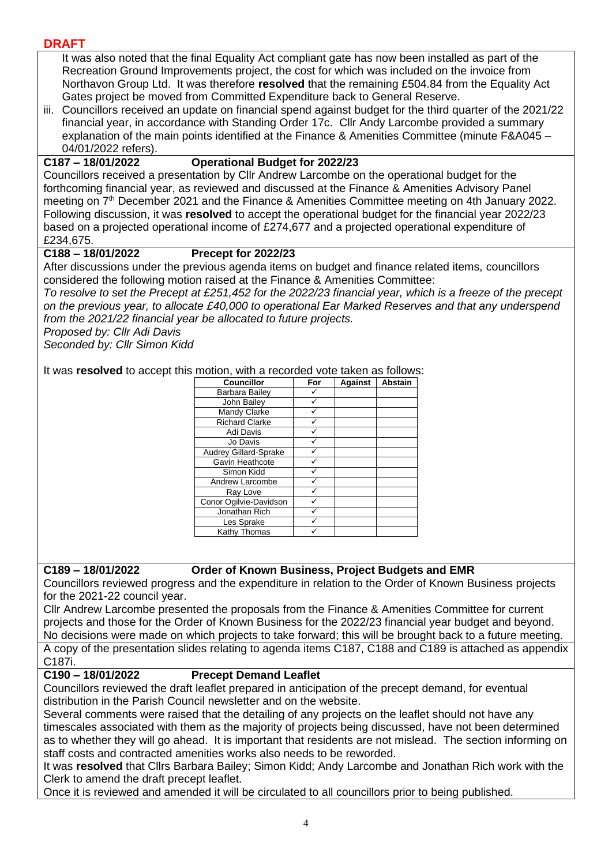It was also noted that the final Equality Act compliant gate has now been installed as part of the Recreation Ground Improvements project, the cost for which was included on the invoice from Northavon Group Ltd. It was therefore **resolved** that the remaining £504.84 from the Equality Act Gates project be moved from Committed Expenditure back to General Reserve.

iii. Councillors received an update on financial spend against budget for the third quarter of the 2021/22 financial year, in accordance with Standing Order 17c. Cllr Andy Larcombe provided a summary explanation of the main points identified at the Finance & Amenities Committee (minute F&A045 – 04/01/2022 refers).

#### **C187 – 18/01/2022 Operational Budget for 2022/23**

Councillors received a presentation by Cllr Andrew Larcombe on the operational budget for the forthcoming financial year, as reviewed and discussed at the Finance & Amenities Advisory Panel meeting on 7<sup>th</sup> December 2021 and the Finance & Amenities Committee meeting on 4th January 2022. Following discussion, it was **resolved** to accept the operational budget for the financial year 2022/23 based on a projected operational income of £274,677 and a projected operational expenditure of £234,675.

#### **C188 – 18/01/2022 Precept for 2022/23**

After discussions under the previous agenda items on budget and finance related items, councillors considered the following motion raised at the Finance & Amenities Committee:

*To resolve to set the Precept at £251,452 for the 2022/23 financial year, which is a freeze of the precept on the previous year, to allocate £40,000 to operational Ear Marked Reserves and that any underspend from the 2021/22 financial year be allocated to future projects.*

*Proposed by: Cllr Adi Davis*

*Seconded by: Cllr Simon Kidd*

It was **resolved** to accept this motion, with a recorded vote taken as follows:

| <b>Councillor</b>      | For | <b>Against</b> | <b>Abstain</b> |
|------------------------|-----|----------------|----------------|
| Barbara Bailey         |     |                |                |
| John Bailey            |     |                |                |
| Mandy Clarke           |     |                |                |
| <b>Richard Clarke</b>  |     |                |                |
| Adi Davis              |     |                |                |
| Jo Davis               |     |                |                |
| Audrey Gillard-Sprake  |     |                |                |
| Gavin Heathcote        |     |                |                |
| Simon Kidd             |     |                |                |
| Andrew Larcombe        |     |                |                |
| Ray Love               |     |                |                |
| Conor Ogilvie-Davidson |     |                |                |
| Jonathan Rich          |     |                |                |
| Les Sprake             |     |                |                |
| Kathy Thomas           |     |                |                |

#### **C189 – 18/01/2022 Order of Known Business, Project Budgets and EMR**

Councillors reviewed progress and the expenditure in relation to the Order of Known Business projects for the 2021-22 council year.

Cllr Andrew Larcombe presented the proposals from the Finance & Amenities Committee for current projects and those for the Order of Known Business for the 2022/23 financial year budget and beyond. No decisions were made on which projects to take forward; this will be brought back to a future meeting. A copy of the presentation slides relating to agenda items C187, C188 and C189 is attached as appendix C187i.

#### **C190 – 18/01/2022 Precept Demand Leaflet**

Councillors reviewed the draft leaflet prepared in anticipation of the precept demand, for eventual distribution in the Parish Council newsletter and on the website.

Several comments were raised that the detailing of any projects on the leaflet should not have any timescales associated with them as the majority of projects being discussed, have not been determined as to whether they will go ahead. It is important that residents are not mislead. The section informing on staff costs and contracted amenities works also needs to be reworded.

It was **resolved** that Cllrs Barbara Bailey; Simon Kidd; Andy Larcombe and Jonathan Rich work with the Clerk to amend the draft precept leaflet.

Once it is reviewed and amended it will be circulated to all councillors prior to being published.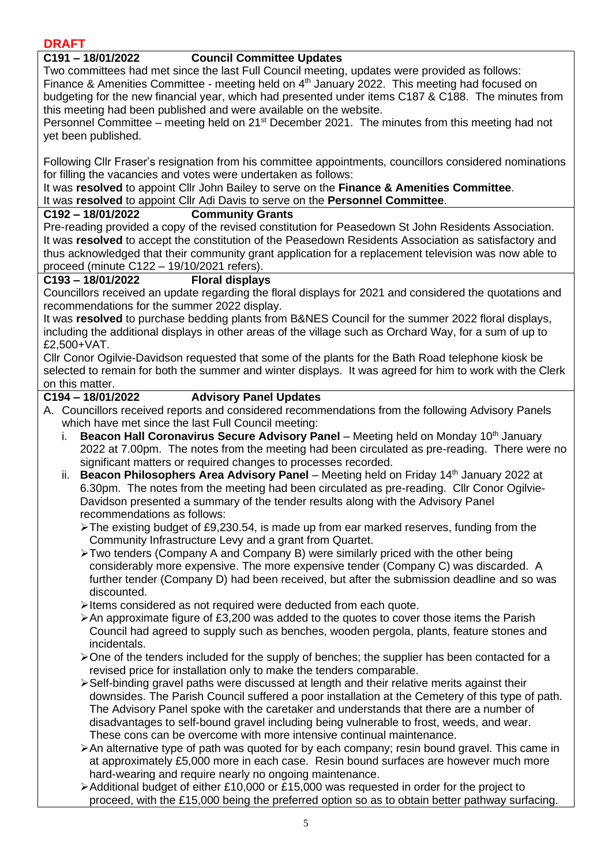#### **C191 – 18/01/2022 Council Committee Updates**

Two committees had met since the last Full Council meeting, updates were provided as follows: Finance & Amenities Committee - meeting held on 4<sup>th</sup> January 2022. This meeting had focused on budgeting for the new financial year, which had presented under items C187 & C188. The minutes from this meeting had been published and were available on the website.

Personnel Committee – meeting held on 21st December 2021. The minutes from this meeting had not yet been published.

Following Cllr Fraser's resignation from his committee appointments, councillors considered nominations for filling the vacancies and votes were undertaken as follows:

It was **resolved** to appoint Cllr John Bailey to serve on the **Finance & Amenities Committee**. It was **resolved** to appoint Cllr Adi Davis to serve on the **Personnel Committee**.

#### **C192 – 18/01/2022 Community Grants**

Pre-reading provided a copy of the revised constitution for Peasedown St John Residents Association. It was **resolved** to accept the constitution of the Peasedown Residents Association as satisfactory and thus acknowledged that their community grant application for a replacement television was now able to proceed (minute C122 – 19/10/2021 refers).

#### **C193 – 18/01/2022 Floral displays**

Councillors received an update regarding the floral displays for 2021 and considered the quotations and recommendations for the summer 2022 display.

It was **resolved** to purchase bedding plants from B&NES Council for the summer 2022 floral displays, including the additional displays in other areas of the village such as Orchard Way, for a sum of up to £2,500+VAT.

Cllr Conor Ogilvie-Davidson requested that some of the plants for the Bath Road telephone kiosk be selected to remain for both the summer and winter displays. It was agreed for him to work with the Clerk on this matter.

#### **C194 – 18/01/2022 Advisory Panel Updates**

- A. Councillors received reports and considered recommendations from the following Advisory Panels which have met since the last Full Council meeting:
	- i. **Beacon Hall Coronavirus Secure Advisory Panel** Meeting held on Monday 10<sup>th</sup> January 2022 at 7.00pm. The notes from the meeting had been circulated as pre-reading. There were no significant matters or required changes to processes recorded.
	- ii. **Beacon Philosophers Area Advisory Panel** Meeting held on Friday 14<sup>th</sup> January 2022 at 6.30pm. The notes from the meeting had been circulated as pre-reading. Cllr Conor Ogilvie-Davidson presented a summary of the tender results along with the Advisory Panel recommendations as follows:
		- $\blacktriangleright$  The existing budget of £9,230.54, is made up from ear marked reserves, funding from the Community Infrastructure Levy and a grant from Quartet.
		- ➢Two tenders (Company A and Company B) were similarly priced with the other being considerably more expensive. The more expensive tender (Company C) was discarded. A further tender (Company D) had been received, but after the submission deadline and so was discounted.
		- ➢Items considered as not required were deducted from each quote.
		- ➢An approximate figure of £3,200 was added to the quotes to cover those items the Parish Council had agreed to supply such as benches, wooden pergola, plants, feature stones and incidentals.
		- ➢One of the tenders included for the supply of benches; the supplier has been contacted for a revised price for installation only to make the tenders comparable.
		- ➢Self-binding gravel paths were discussed at length and their relative merits against their downsides. The Parish Council suffered a poor installation at the Cemetery of this type of path. The Advisory Panel spoke with the caretaker and understands that there are a number of disadvantages to self-bound gravel including being vulnerable to frost, weeds, and wear. These cons can be overcome with more intensive continual maintenance.
		- ➢An alternative type of path was quoted for by each company; resin bound gravel. This came in at approximately £5,000 more in each case. Resin bound surfaces are however much more hard-wearing and require nearly no ongoing maintenance.
		- ➢Additional budget of either £10,000 or £15,000 was requested in order for the project to proceed, with the £15,000 being the preferred option so as to obtain better pathway surfacing.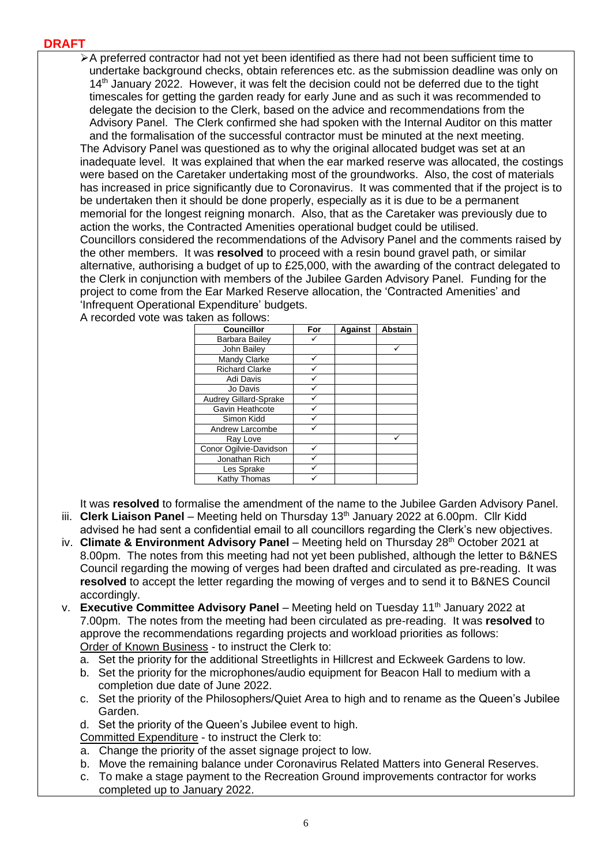➢A preferred contractor had not yet been identified as there had not been sufficient time to undertake background checks, obtain references etc. as the submission deadline was only on 14<sup>th</sup> January 2022. However, it was felt the decision could not be deferred due to the tight timescales for getting the garden ready for early June and as such it was recommended to delegate the decision to the Clerk, based on the advice and recommendations from the Advisory Panel. The Clerk confirmed she had spoken with the Internal Auditor on this matter and the formalisation of the successful contractor must be minuted at the next meeting. The Advisory Panel was questioned as to why the original allocated budget was set at an inadequate level. It was explained that when the ear marked reserve was allocated, the costings were based on the Caretaker undertaking most of the groundworks. Also, the cost of materials has increased in price significantly due to Coronavirus. It was commented that if the project is to be undertaken then it should be done properly, especially as it is due to be a permanent memorial for the longest reigning monarch. Also, that as the Caretaker was previously due to action the works, the Contracted Amenities operational budget could be utilised. Councillors considered the recommendations of the Advisory Panel and the comments raised by the other members. It was **resolved** to proceed with a resin bound gravel path, or similar alternative, authorising a budget of up to £25,000, with the awarding of the contract delegated to the Clerk in conjunction with members of the Jubilee Garden Advisory Panel. Funding for the project to come from the Ear Marked Reserve allocation, the 'Contracted Amenities' and 'Infrequent Operational Expenditure' budgets.

A recorded vote was taken as follows:

| <b>Councillor</b>      | For | <b>Against</b> | <b>Abstain</b> |
|------------------------|-----|----------------|----------------|
| Barbara Bailey         |     |                |                |
| John Bailey            |     |                |                |
| Mandy Clarke           |     |                |                |
| <b>Richard Clarke</b>  |     |                |                |
| Adi Davis              |     |                |                |
| Jo Davis               |     |                |                |
| Audrey Gillard-Sprake  |     |                |                |
| Gavin Heathcote        |     |                |                |
| Simon Kidd             |     |                |                |
| Andrew Larcombe        |     |                |                |
| Ray Love               |     |                |                |
| Conor Ogilvie-Davidson |     |                |                |
| Jonathan Rich          |     |                |                |
| Les Sprake             |     |                |                |
| Kathy Thomas           |     |                |                |

It was **resolved** to formalise the amendment of the name to the Jubilee Garden Advisory Panel. iii. **Clerk Liaison Panel** – Meeting held on Thursday 13<sup>th</sup> January 2022 at 6.00pm. Cllr Kidd

- advised he had sent a confidential email to all councillors regarding the Clerk's new objectives.
- iv. **Climate & Environment Advisory Panel** Meeting held on Thursday 28<sup>th</sup> October 2021 at 8.00pm. The notes from this meeting had not yet been published, although the letter to B&NES Council regarding the mowing of verges had been drafted and circulated as pre-reading. It was **resolved** to accept the letter regarding the mowing of verges and to send it to B&NES Council accordingly.
- v. **Executive Committee Advisory Panel** Meeting held on Tuesday 11th January 2022 at 7.00pm. The notes from the meeting had been circulated as pre-reading. It was **resolved** to approve the recommendations regarding projects and workload priorities as follows: Order of Known Business - to instruct the Clerk to:
	- a. Set the priority for the additional Streetlights in Hillcrest and Eckweek Gardens to low.
	- b. Set the priority for the microphones/audio equipment for Beacon Hall to medium with a completion due date of June 2022.
	- c. Set the priority of the Philosophers/Quiet Area to high and to rename as the Queen's Jubilee Garden.
	- d. Set the priority of the Queen's Jubilee event to high.
	- Committed Expenditure to instruct the Clerk to:
	- a. Change the priority of the asset signage project to low.
	- b. Move the remaining balance under Coronavirus Related Matters into General Reserves.
	- c. To make a stage payment to the Recreation Ground improvements contractor for works completed up to January 2022.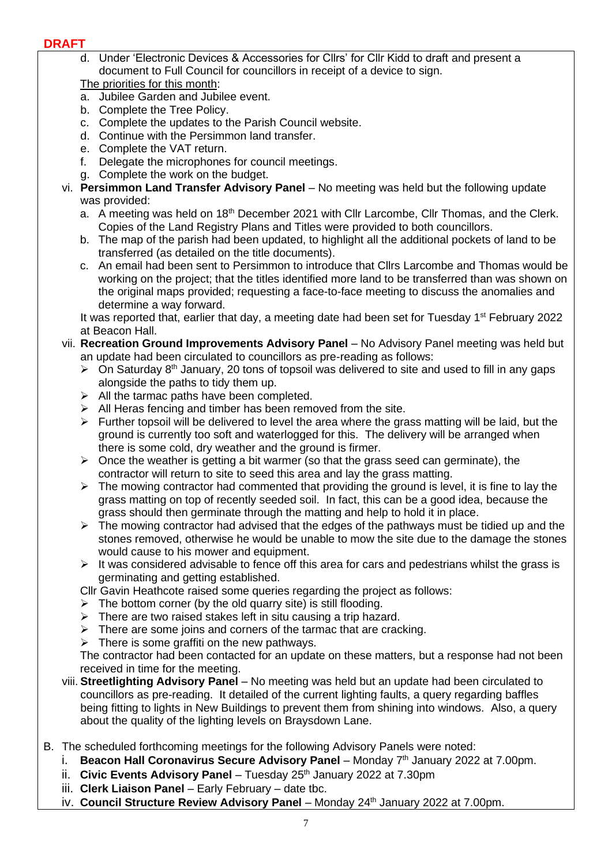d. Under 'Electronic Devices & Accessories for Cllrs' for Cllr Kidd to draft and present a document to Full Council for councillors in receipt of a device to sign.

The priorities for this month:

- a. Jubilee Garden and Jubilee event.
- b. Complete the Tree Policy.
- c. Complete the updates to the Parish Council website.
- d. Continue with the Persimmon land transfer.
- e. Complete the VAT return.
- f. Delegate the microphones for council meetings.
- g. Complete the work on the budget.
- vi. **Persimmon Land Transfer Advisory Panel** No meeting was held but the following update was provided:
	- a. A meeting was held on 18<sup>th</sup> December 2021 with Cllr Larcombe, Cllr Thomas, and the Clerk. Copies of the Land Registry Plans and Titles were provided to both councillors.
	- b. The map of the parish had been updated, to highlight all the additional pockets of land to be transferred (as detailed on the title documents).
	- c. An email had been sent to Persimmon to introduce that Cllrs Larcombe and Thomas would be working on the project; that the titles identified more land to be transferred than was shown on the original maps provided; requesting a face-to-face meeting to discuss the anomalies and determine a way forward.

It was reported that, earlier that day, a meeting date had been set for Tuesday 1<sup>st</sup> February 2022 at Beacon Hall.

- vii. **Recreation Ground Improvements Advisory Panel**  No Advisory Panel meeting was held but an update had been circulated to councillors as pre-reading as follows:
	- $\triangleright$  On Saturday 8<sup>th</sup> January, 20 tons of topsoil was delivered to site and used to fill in any gaps alongside the paths to tidy them up.
	- $\triangleright$  All the tarmac paths have been completed.
	- $\triangleright$  All Heras fencing and timber has been removed from the site.
	- $\triangleright$  Further topsoil will be delivered to level the area where the grass matting will be laid, but the ground is currently too soft and waterlogged for this. The delivery will be arranged when there is some cold, dry weather and the ground is firmer.
	- $\triangleright$  Once the weather is getting a bit warmer (so that the grass seed can germinate), the contractor will return to site to seed this area and lay the grass matting.
	- $\triangleright$  The mowing contractor had commented that providing the ground is level, it is fine to lay the grass matting on top of recently seeded soil. In fact, this can be a good idea, because the grass should then germinate through the matting and help to hold it in place.
	- $\triangleright$  The mowing contractor had advised that the edges of the pathways must be tidied up and the stones removed, otherwise he would be unable to mow the site due to the damage the stones would cause to his mower and equipment.
	- $\triangleright$  It was considered advisable to fence off this area for cars and pedestrians whilst the grass is germinating and getting established.
	- Cllr Gavin Heathcote raised some queries regarding the project as follows:
	- $\triangleright$  The bottom corner (by the old quarry site) is still flooding.
	- ➢ There are two raised stakes left in situ causing a trip hazard.
	- $\triangleright$  There are some joins and corners of the tarmac that are cracking.
	- $\triangleright$  There is some graffiti on the new pathways.

The contractor had been contacted for an update on these matters, but a response had not been received in time for the meeting.

- viii. **Streetlighting Advisory Panel**  No meeting was held but an update had been circulated to councillors as pre-reading. It detailed of the current lighting faults, a query regarding baffles being fitting to lights in New Buildings to prevent them from shining into windows. Also, a query about the quality of the lighting levels on Braysdown Lane.
- B. The scheduled forthcoming meetings for the following Advisory Panels were noted:
	- i. **Beacon Hall Coronavirus Secure Advisory Panel** Monday 7<sup>th</sup> January 2022 at 7.00pm.
	- ii. **Civic Events Advisory Panel** Tuesday 25<sup>th</sup> January 2022 at 7.30pm
	- iii. **Clerk Liaison Panel** Early February date tbc.
	- iv. **Council Structure Review Advisory Panel** Monday 24<sup>th</sup> January 2022 at 7.00pm.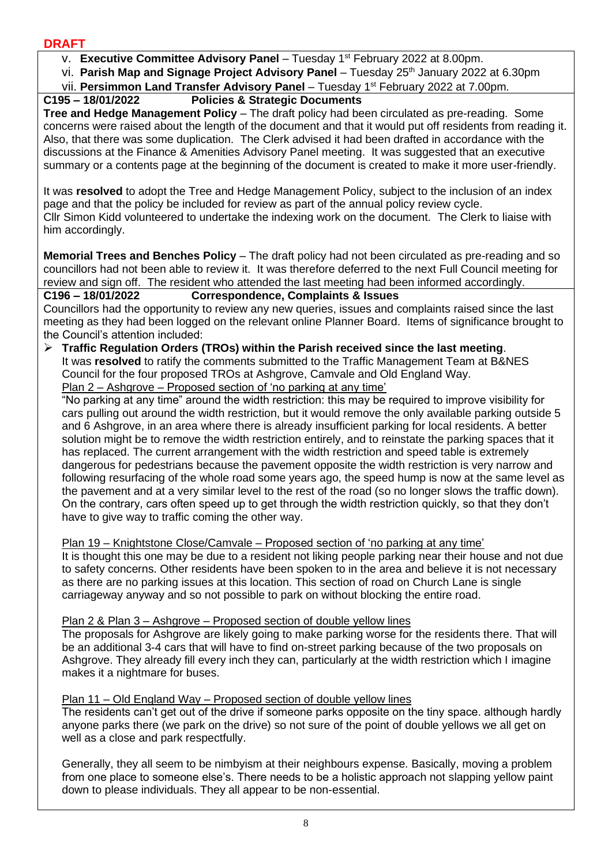v. **Executive Committee Advisory Panel** – Tuesday 1st February 2022 at 8.00pm.

vi. Parish Map and Signage Project Advisory Panel - Tuesday 25<sup>th</sup> January 2022 at 6.30pm

vii. Persimmon Land Transfer Advisory Panel - Tuesday 1<sup>st</sup> February 2022 at 7.00pm.

#### **C195 – 18/01/2022 Policies & Strategic Documents**

**Tree and Hedge Management Policy** – The draft policy had been circulated as pre-reading. Some concerns were raised about the length of the document and that it would put off residents from reading it. Also, that there was some duplication. The Clerk advised it had been drafted in accordance with the discussions at the Finance & Amenities Advisory Panel meeting. It was suggested that an executive summary or a contents page at the beginning of the document is created to make it more user-friendly.

It was **resolved** to adopt the Tree and Hedge Management Policy, subject to the inclusion of an index page and that the policy be included for review as part of the annual policy review cycle. Cllr Simon Kidd volunteered to undertake the indexing work on the document. The Clerk to liaise with him accordingly.

**Memorial Trees and Benches Policy** – The draft policy had not been circulated as pre-reading and so councillors had not been able to review it. It was therefore deferred to the next Full Council meeting for review and sign off. The resident who attended the last meeting had been informed accordingly.

#### **C196 – 18/01/2022 Correspondence, Complaints & Issues**

Councillors had the opportunity to review any new queries, issues and complaints raised since the last meeting as they had been logged on the relevant online Planner Board. Items of significance brought to the Council's attention included:

➢ **Traffic Regulation Orders (TROs) within the Parish received since the last meeting**. It was **resolved** to ratify the comments submitted to the Traffic Management Team at B&NES Council for the four proposed TROs at Ashgrove, Camvale and Old England Way. Plan 2 – Ashgrove – Proposed section of 'no parking at any time'

"No parking at any time" around the width restriction: this may be required to improve visibility for cars pulling out around the width restriction, but it would remove the only available parking outside 5 and 6 Ashgrove, in an area where there is already insufficient parking for local residents. A better solution might be to remove the width restriction entirely, and to reinstate the parking spaces that it has replaced. The current arrangement with the width restriction and speed table is extremely dangerous for pedestrians because the pavement opposite the width restriction is very narrow and following resurfacing of the whole road some years ago, the speed hump is now at the same level as the pavement and at a very similar level to the rest of the road (so no longer slows the traffic down). On the contrary, cars often speed up to get through the width restriction quickly, so that they don't have to give way to traffic coming the other way.

#### Plan 19 – Knightstone Close/Camvale – Proposed section of 'no parking at any time'

It is thought this one may be due to a resident not liking people parking near their house and not due to safety concerns. Other residents have been spoken to in the area and believe it is not necessary as there are no parking issues at this location. This section of road on Church Lane is single carriageway anyway and so not possible to park on without blocking the entire road.

#### Plan 2 & Plan 3 – Ashgrove – Proposed section of double yellow lines

The proposals for Ashgrove are likely going to make parking worse for the residents there. That will be an additional 3-4 cars that will have to find on-street parking because of the two proposals on Ashgrove. They already fill every inch they can, particularly at the width restriction which I imagine makes it a nightmare for buses.

#### Plan 11 – Old England Way – Proposed section of double yellow lines

The residents can't get out of the drive if someone parks opposite on the tiny space. although hardly anyone parks there (we park on the drive) so not sure of the point of double yellows we all get on well as a close and park respectfully.

Generally, they all seem to be nimbyism at their neighbours expense. Basically, moving a problem from one place to someone else's. There needs to be a holistic approach not slapping yellow paint down to please individuals. They all appear to be non-essential.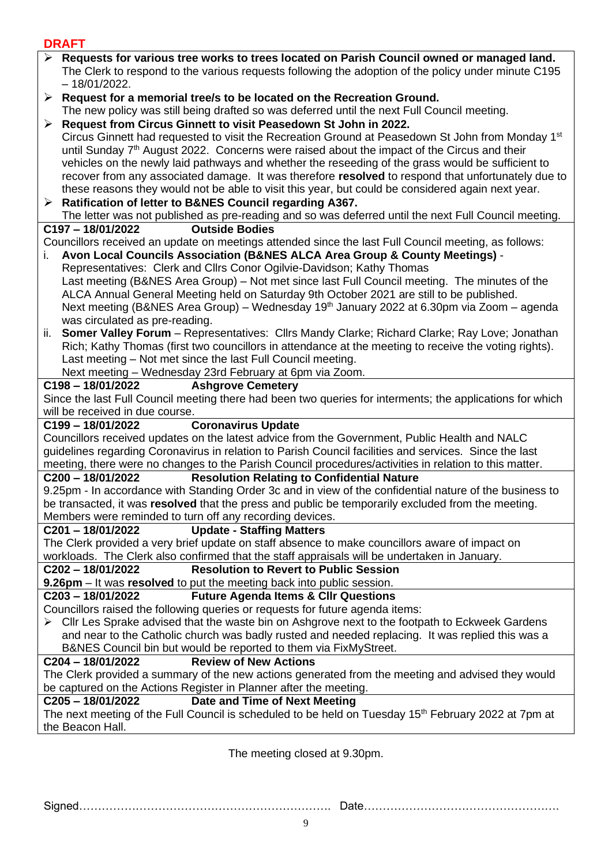| ו והרוש                                                                                                                                                                                                             |
|---------------------------------------------------------------------------------------------------------------------------------------------------------------------------------------------------------------------|
| Requests for various tree works to trees located on Parish Council owned or managed land.<br>The Clerk to respond to the various requests following the adoption of the policy under minute C195<br>$-18/01/2022$ . |
| $\triangleright$ Request for a memorial tree/s to be located on the Recreation Ground.                                                                                                                              |
| The new policy was still being drafted so was deferred until the next Full Council meeting.                                                                                                                         |
| Request from Circus Ginnett to visit Peasedown St John in 2022.<br>➤                                                                                                                                                |
| Circus Ginnett had requested to visit the Recreation Ground at Peasedown St John from Monday 1 <sup>st</sup>                                                                                                        |
|                                                                                                                                                                                                                     |
| until Sunday 7 <sup>th</sup> August 2022. Concerns were raised about the impact of the Circus and their                                                                                                             |
| vehicles on the newly laid pathways and whether the reseeding of the grass would be sufficient to                                                                                                                   |
| recover from any associated damage. It was therefore resolved to respond that unfortunately due to                                                                                                                  |
| these reasons they would not be able to visit this year, but could be considered again next year.                                                                                                                   |
| $\triangleright$ Ratification of letter to B&NES Council regarding A367.                                                                                                                                            |
| The letter was not published as pre-reading and so was deferred until the next Full Council meeting.                                                                                                                |
| <b>Outside Bodies</b><br>C197-18/01/2022                                                                                                                                                                            |
| Councillors received an update on meetings attended since the last Full Council meeting, as follows:                                                                                                                |
| Avon Local Councils Association (B&NES ALCA Area Group & County Meetings) -                                                                                                                                         |
| Representatives: Clerk and Cllrs Conor Ogilvie-Davidson; Kathy Thomas                                                                                                                                               |
| Last meeting (B&NES Area Group) – Not met since last Full Council meeting. The minutes of the                                                                                                                       |
| ALCA Annual General Meeting held on Saturday 9th October 2021 are still to be published.                                                                                                                            |
| Next meeting (B&NES Area Group) – Wednesday 19 <sup>th</sup> January 2022 at 6.30pm via Zoom – agenda                                                                                                               |
| was circulated as pre-reading.                                                                                                                                                                                      |
| <b>Somer Valley Forum</b> - Representatives: Cllrs Mandy Clarke; Richard Clarke; Ray Love; Jonathan<br>ii.                                                                                                          |
| Rich; Kathy Thomas (first two councillors in attendance at the meeting to receive the voting rights).                                                                                                               |
| Last meeting - Not met since the last Full Council meeting.                                                                                                                                                         |
| Next meeting - Wednesday 23rd February at 6pm via Zoom.                                                                                                                                                             |
| C198-18/01/2022<br><b>Ashgrove Cemetery</b>                                                                                                                                                                         |
| Since the last Full Council meeting there had been two queries for interments; the applications for which                                                                                                           |
| will be received in due course.                                                                                                                                                                                     |
| <b>Coronavirus Update</b><br>C199-18/01/2022                                                                                                                                                                        |
| Councillors received updates on the latest advice from the Government, Public Health and NALC                                                                                                                       |
| guidelines regarding Coronavirus in relation to Parish Council facilities and services. Since the last                                                                                                              |
| meeting, there were no changes to the Parish Council procedures/activities in relation to this matter.                                                                                                              |
| C200-18/01/2022<br><b>Resolution Relating to Confidential Nature</b>                                                                                                                                                |
| 9.25pm - In accordance with Standing Order 3c and in view of the confidential nature of the business to                                                                                                             |
| be transacted, it was resolved that the press and public be temporarily excluded from the meeting                                                                                                                   |
| Members were reminded to turn off any recording devices.                                                                                                                                                            |
| <b>Update - Staffing Matters</b><br>C201-18/01/2022                                                                                                                                                                 |
| The Clerk provided a very brief update on staff absence to make councillors aware of impact on                                                                                                                      |
| workloads. The Clerk also confirmed that the staff appraisals will be undertaken in January.                                                                                                                        |
| C202-18/01/2022<br><b>Resolution to Revert to Public Session</b>                                                                                                                                                    |
| 9.26pm – It was resolved to put the meeting back into public session.                                                                                                                                               |
| C203-18/01/2022<br><b>Future Agenda Items &amp; CIIr Questions</b>                                                                                                                                                  |
| Councillors raised the following queries or requests for future agenda items:                                                                                                                                       |
| > Cllr Les Sprake advised that the waste bin on Ashgrove next to the footpath to Eckweek Gardens                                                                                                                    |
| and near to the Catholic church was badly rusted and needed replacing. It was replied this was a                                                                                                                    |
| B&NES Council bin but would be reported to them via FixMyStreet.                                                                                                                                                    |
| <b>Review of New Actions</b><br>C204-18/01/2022                                                                                                                                                                     |
| The Clerk provided a summary of the new actions generated from the meeting and advised they would                                                                                                                   |
| be captured on the Actions Register in Planner after the meeting.                                                                                                                                                   |
| Date and Time of Next Meeting<br>C205-18/01/2022                                                                                                                                                                    |
| The next meeting of the Full Council is scheduled to be held on Tuesday 15 <sup>th</sup> February 2022 at 7pm at                                                                                                    |
| the Beacon Hall.                                                                                                                                                                                                    |

The meeting closed at 9.30pm.

Signed…………………………………………………………. Date…………………………………………….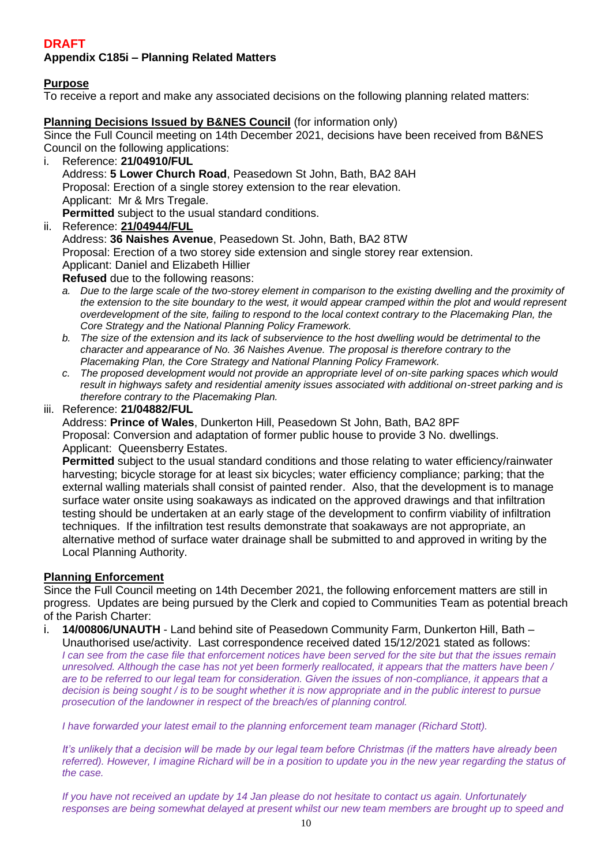**Appendix C185i – Planning Related Matters**

#### **Purpose**

To receive a report and make any associated decisions on the following planning related matters:

#### **Planning Decisions Issued by B&NES Council** (for information only)

Since the Full Council meeting on 14th December 2021, decisions have been received from B&NES Council on the following applications:

- i. Reference: **21/04910/FUL** Address: **5 Lower Church Road**, Peasedown St John, Bath, BA2 8AH Proposal: Erection of a single storey extension to the rear elevation. Applicant: Mr & Mrs Tregale. **Permitted** subject to the usual standard conditions.
- ii. Reference: **[21/04944/FUL](https://www.bathnes.gov.uk/webforms/planning/details.html?refval=21%2F04944%2FFUL)** Address: **36 Naishes Avenue**, Peasedown St. John, Bath, BA2 8TW Proposal: Erection of a two storey side extension and single storey rear extension. Applicant: Daniel and Elizabeth Hillier

**Refused** due to the following reasons:

- *a. Due to the large scale of the two-storey element in comparison to the existing dwelling and the proximity of the extension to the site boundary to the west, it would appear cramped within the plot and would represent overdevelopment of the site, failing to respond to the local context contrary to the Placemaking Plan, the Core Strategy and the National Planning Policy Framework.*
- *b. The size of the extension and its lack of subservience to the host dwelling would be detrimental to the character and appearance of No. 36 Naishes Avenue. The proposal is therefore contrary to the Placemaking Plan, the Core Strategy and National Planning Policy Framework.*
- *c. The proposed development would not provide an appropriate level of on-site parking spaces which would result in highways safety and residential amenity issues associated with additional on-street parking and is therefore contrary to the Placemaking Plan.*
- iii. Reference: **21/04882/FUL**

Address: **Prince of Wales**, Dunkerton Hill, Peasedown St John, Bath, BA2 8PF Proposal: Conversion and adaptation of former public house to provide 3 No. dwellings. Applicant: Queensberry Estates.

**Permitted** subject to the usual standard conditions and those relating to water efficiency/rainwater harvesting; bicycle storage for at least six bicycles; water efficiency compliance; parking; that the external walling materials shall consist of painted render. Also, that the development is to manage surface water onsite using soakaways as indicated on the approved drawings and that infiltration testing should be undertaken at an early stage of the development to confirm viability of infiltration techniques. If the infiltration test results demonstrate that soakaways are not appropriate, an alternative method of surface water drainage shall be submitted to and approved in writing by the Local Planning Authority.

#### **Planning Enforcement**

Since the Full Council meeting on 14th December 2021, the following enforcement matters are still in progress. Updates are being pursued by the Clerk and copied to Communities Team as potential breach of the Parish Charter:

i. **14/00806/UNAUTH** - Land behind site of Peasedown Community Farm, Dunkerton Hill, Bath – Unauthorised use/activity. Last correspondence received dated 15/12/2021 stated as follows: *I* can see from the case file that enforcement notices have been served for the site but that the issues remain *unresolved. Although the case has not yet been formerly reallocated, it appears that the matters have been / are to be referred to our legal team for consideration. Given the issues of non-compliance, it appears that a decision is being sought / is to be sought whether it is now appropriate and in the public interest to pursue prosecution of the landowner in respect of the breach/es of planning control.* 

*I have forwarded your latest email to the planning enforcement team manager (Richard Stott).* 

*It's unlikely that a decision will be made by our legal team before Christmas (if the matters have already been referred). However, I imagine Richard will be in a position to update you in the new year regarding the status of the case.*

*If you have not received an update by 14 Jan please do not hesitate to contact us again. Unfortunately responses are being somewhat delayed at present whilst our new team members are brought up to speed and*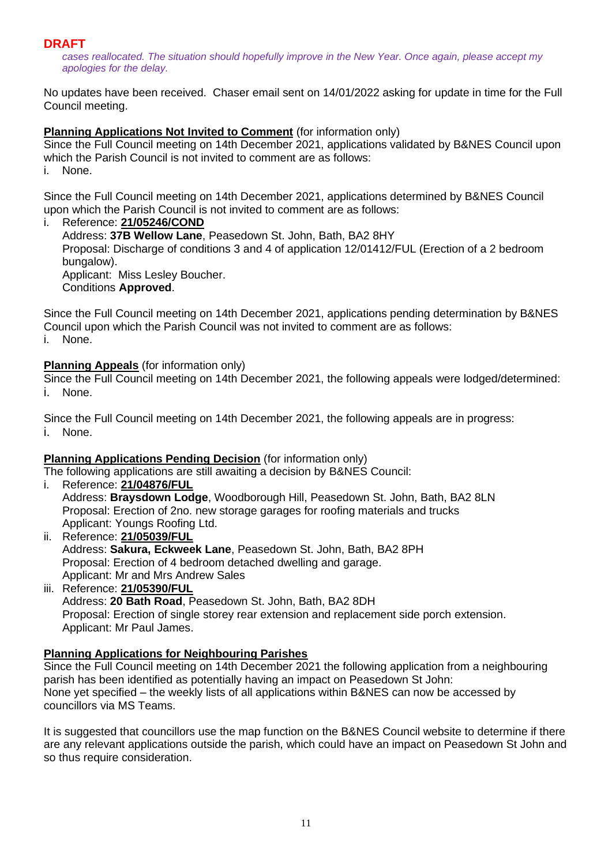*cases reallocated. The situation should hopefully improve in the New Year. Once again, please accept my apologies for the delay.* 

No updates have been received. Chaser email sent on 14/01/2022 asking for update in time for the Full Council meeting.

#### **Planning Applications Not Invited to Comment** (for information only)

Since the Full Council meeting on 14th December 2021, applications validated by B&NES Council upon which the Parish Council is not invited to comment are as follows:

i. None.

Since the Full Council meeting on 14th December 2021, applications determined by B&NES Council upon which the Parish Council is not invited to comment are as follows:

#### i. Reference: **[21/05246/COND](https://www.bathnes.gov.uk/webforms/planning/details.html?refval=21%2F05246%2FCOND)**

Address: **37B Wellow Lane**, Peasedown St. John, Bath, BA2 8HY Proposal: Discharge of conditions 3 and 4 of application 12/01412/FUL (Erection of a 2 bedroom bungalow). Applicant: Miss Lesley Boucher. Conditions **Approved**.

Since the Full Council meeting on 14th December 2021, applications pending determination by B&NES Council upon which the Parish Council was not invited to comment are as follows: i. None.

#### **Planning Appeals** (for information only)

Since the Full Council meeting on 14th December 2021, the following appeals were lodged/determined: i. None.

Since the Full Council meeting on 14th December 2021, the following appeals are in progress: i. None.

#### **Planning Applications Pending Decision** (for information only)

The following applications are still awaiting a decision by B&NES Council:

- i. Reference: **[21/04876/FUL](https://www.bathnes.gov.uk/webforms/planning/details.html?refval=21%2F04876%2FFUL)** Address: **Braysdown Lodge**, Woodborough Hill, Peasedown St. John, Bath, BA2 8LN Proposal: Erection of 2no. new storage garages for roofing materials and trucks Applicant: Youngs Roofing Ltd.
- ii. Reference: **[21/05039/FUL](https://www.bathnes.gov.uk/webforms/planning/details.html?refval=21%2F05039%2FFUL)** Address: **Sakura, Eckweek Lane**, Peasedown St. John, Bath, BA2 8PH Proposal: Erection of 4 bedroom detached dwelling and garage. Applicant: Mr and Mrs Andrew Sales
- iii. Reference: **[21/05390/FUL](https://www.bathnes.gov.uk/webforms/planning/details.html?refval=21%2F05390%2FFUL)** Address: **20 Bath Road**, Peasedown St. John, Bath, BA2 8DH Proposal: Erection of single storey rear extension and replacement side porch extension. Applicant: Mr Paul James.

#### **Planning Applications for Neighbouring Parishes**

Since the Full Council meeting on 14th December 2021 the following application from a neighbouring parish has been identified as potentially having an impact on Peasedown St John: None yet specified – the weekly lists of all applications within B&NES can now be accessed by councillors via MS Teams.

It is suggested that councillors use the map function on the B&NES Council website to determine if there are any relevant applications outside the parish, which could have an impact on Peasedown St John and so thus require consideration.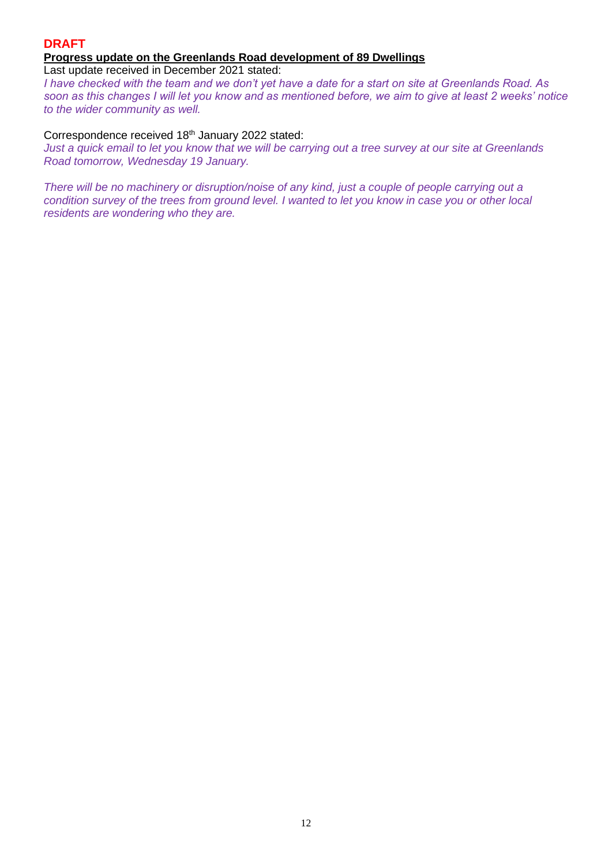#### **DRAFT Progress update on the Greenlands Road development of 89 Dwellings**

Last update received in December 2021 stated:

*I have checked with the team and we don't yet have a date for a start on site at Greenlands Road. As soon as this changes I will let you know and as mentioned before, we aim to give at least 2 weeks' notice to the wider community as well.* 

#### Correspondence received 18<sup>th</sup> January 2022 stated:

*Just a quick email to let you know that we will be carrying out a tree survey at our site at Greenlands Road tomorrow, Wednesday 19 January.* 

*There will be no machinery or disruption/noise of any kind, just a couple of people carrying out a condition survey of the trees from ground level. I wanted to let you know in case you or other local residents are wondering who they are.*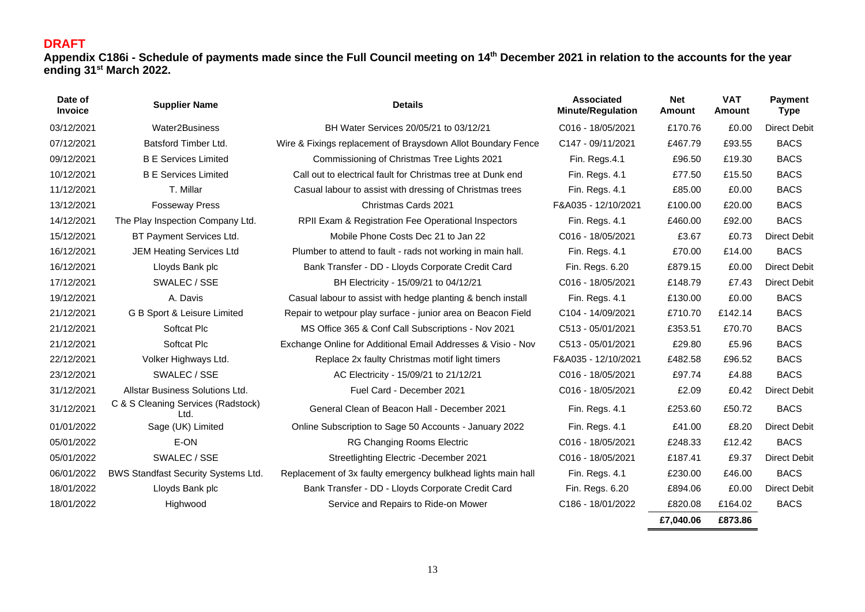**Appendix C186i - Schedule of payments made since the Full Council meeting on 14th December 2021 in relation to the accounts for the year ending 31st March 2022.**

| Date of<br><b>Invoice</b> | <b>Supplier Name</b>                       | <b>Details</b>                                               | <b>Associated</b><br><b>Minute/Regulation</b> | <b>Net</b><br>Amount | <b>VAT</b><br>Amount | <b>Payment</b><br><b>Type</b> |
|---------------------------|--------------------------------------------|--------------------------------------------------------------|-----------------------------------------------|----------------------|----------------------|-------------------------------|
| 03/12/2021                | Water2Business                             | BH Water Services 20/05/21 to 03/12/21                       | C016 - 18/05/2021                             | £170.76              | £0.00                | <b>Direct Debit</b>           |
| 07/12/2021                | Batsford Timber Ltd.                       | Wire & Fixings replacement of Braysdown Allot Boundary Fence | C147 - 09/11/2021                             | £467.79              | £93.55               | <b>BACS</b>                   |
| 09/12/2021                | <b>B E Services Limited</b>                | Commissioning of Christmas Tree Lights 2021                  | Fin. Regs.4.1                                 | £96.50               | £19.30               | <b>BACS</b>                   |
| 10/12/2021                | <b>B E Services Limited</b>                | Call out to electrical fault for Christmas tree at Dunk end  | Fin. Regs. 4.1                                | £77.50               | £15.50               | <b>BACS</b>                   |
| 11/12/2021                | T. Millar                                  | Casual labour to assist with dressing of Christmas trees     | Fin. Regs. 4.1                                | £85.00               | £0.00                | <b>BACS</b>                   |
| 13/12/2021                | <b>Fosseway Press</b>                      | Christmas Cards 2021                                         | F&A035 - 12/10/2021                           | £100.00              | £20.00               | <b>BACS</b>                   |
| 14/12/2021                | The Play Inspection Company Ltd.           | RPII Exam & Registration Fee Operational Inspectors          | Fin. Regs. 4.1                                | £460.00              | £92.00               | <b>BACS</b>                   |
| 15/12/2021                | BT Payment Services Ltd.                   | Mobile Phone Costs Dec 21 to Jan 22                          | C016 - 18/05/2021                             | £3.67                | £0.73                | <b>Direct Debit</b>           |
| 16/12/2021                | <b>JEM Heating Services Ltd</b>            | Plumber to attend to fault - rads not working in main hall.  | Fin. Regs. 4.1                                | £70.00               | £14.00               | <b>BACS</b>                   |
| 16/12/2021                | Lloyds Bank plc                            | Bank Transfer - DD - Lloyds Corporate Credit Card            | Fin. Regs. 6.20                               | £879.15              | £0.00                | <b>Direct Debit</b>           |
| 17/12/2021                | SWALEC / SSE                               | BH Electricity - 15/09/21 to 04/12/21                        | C016 - 18/05/2021                             | £148.79              | £7.43                | <b>Direct Debit</b>           |
| 19/12/2021                | A. Davis                                   | Casual labour to assist with hedge planting & bench install  | Fin. Regs. 4.1                                | £130.00              | £0.00                | <b>BACS</b>                   |
| 21/12/2021                | G B Sport & Leisure Limited                | Repair to wetpour play surface - junior area on Beacon Field | C104 - 14/09/2021                             | £710.70              | £142.14              | <b>BACS</b>                   |
| 21/12/2021                | Softcat Plc                                | MS Office 365 & Conf Call Subscriptions - Nov 2021           | C513 - 05/01/2021                             | £353.51              | £70.70               | <b>BACS</b>                   |
| 21/12/2021                | Softcat Plc                                | Exchange Online for Additional Email Addresses & Visio - Nov | C513 - 05/01/2021                             | £29.80               | £5.96                | <b>BACS</b>                   |
| 22/12/2021                | Volker Highways Ltd.                       | Replace 2x faulty Christmas motif light timers               | F&A035 - 12/10/2021                           | £482.58              | £96.52               | <b>BACS</b>                   |
| 23/12/2021                | SWALEC / SSE                               | AC Electricity - 15/09/21 to 21/12/21                        | C016 - 18/05/2021                             | £97.74               | £4.88                | <b>BACS</b>                   |
| 31/12/2021                | Allstar Business Solutions Ltd.            | Fuel Card - December 2021                                    | C016 - 18/05/2021                             | £2.09                | £0.42                | <b>Direct Debit</b>           |
| 31/12/2021                | C & S Cleaning Services (Radstock)<br>Ltd. | General Clean of Beacon Hall - December 2021                 | Fin. Regs. 4.1                                | £253.60              | £50.72               | <b>BACS</b>                   |
| 01/01/2022                | Sage (UK) Limited                          | Online Subscription to Sage 50 Accounts - January 2022       | Fin. Regs. 4.1                                | £41.00               | £8.20                | <b>Direct Debit</b>           |
| 05/01/2022                | E-ON                                       | <b>RG Changing Rooms Electric</b>                            | C016 - 18/05/2021                             | £248.33              | £12.42               | <b>BACS</b>                   |
| 05/01/2022                | SWALEC / SSE                               | Streetlighting Electric -December 2021                       | C016 - 18/05/2021                             | £187.41              | £9.37                | <b>Direct Debit</b>           |
| 06/01/2022                | BWS Standfast Security Systems Ltd.        | Replacement of 3x faulty emergency bulkhead lights main hall | Fin. Regs. 4.1                                | £230.00              | £46.00               | <b>BACS</b>                   |
| 18/01/2022                | Lloyds Bank plc                            | Bank Transfer - DD - Lloyds Corporate Credit Card            | Fin. Regs. 6.20                               | £894.06              | £0.00                | <b>Direct Debit</b>           |
| 18/01/2022                | Highwood                                   | Service and Repairs to Ride-on Mower                         | C186 - 18/01/2022                             | £820.08              | £164.02              | <b>BACS</b>                   |

**£7,040.06 £873.86**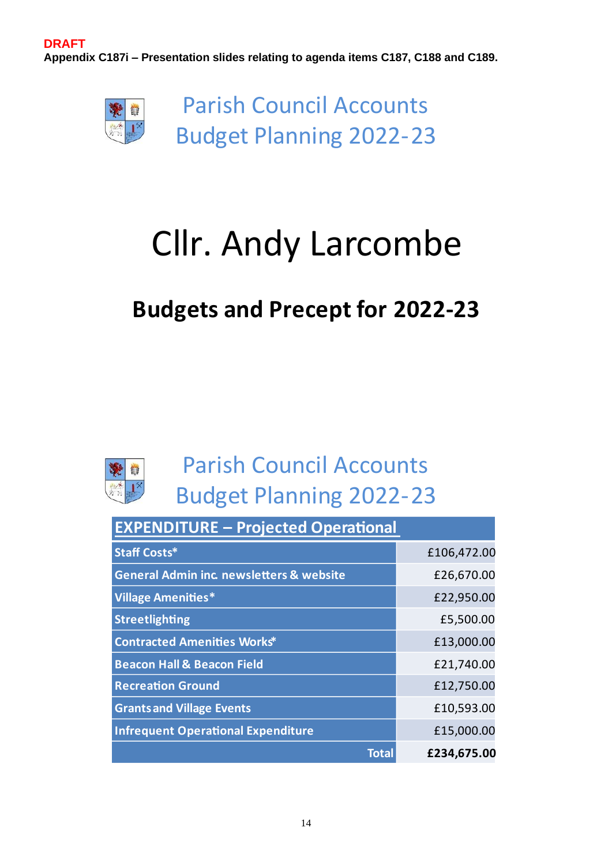**DRAFT Appendix C187i – Presentation slides relating to agenda items C187, C188 and C189.**



**Parish Council Accounts Budget Planning 2022-23** 

# **Cllr. Andy Larcombe**

### **Budgets and Precept for 2022-23**



| <b>EXPENDITURE - Projected Operational</b>          |             |  |
|-----------------------------------------------------|-------------|--|
| <b>Staff Costs*</b>                                 | £106,472.00 |  |
| <b>General Admin inc. newsletters &amp; website</b> | £26,670.00  |  |
| <b>Village Amenities*</b>                           | £22,950.00  |  |
| <b>Streetlighting</b>                               | £5,500.00   |  |
| <b>Contracted Amenities Works*</b>                  | £13,000.00  |  |
| <b>Beacon Hall &amp; Beacon Field</b>               | £21,740.00  |  |
| <b>Recreation Ground</b>                            | £12,750.00  |  |
| <b>Grants and Village Events</b>                    | £10,593.00  |  |
| <b>Infrequent Operational Expenditure</b>           | £15,000.00  |  |
| Total                                               | £234,675.00 |  |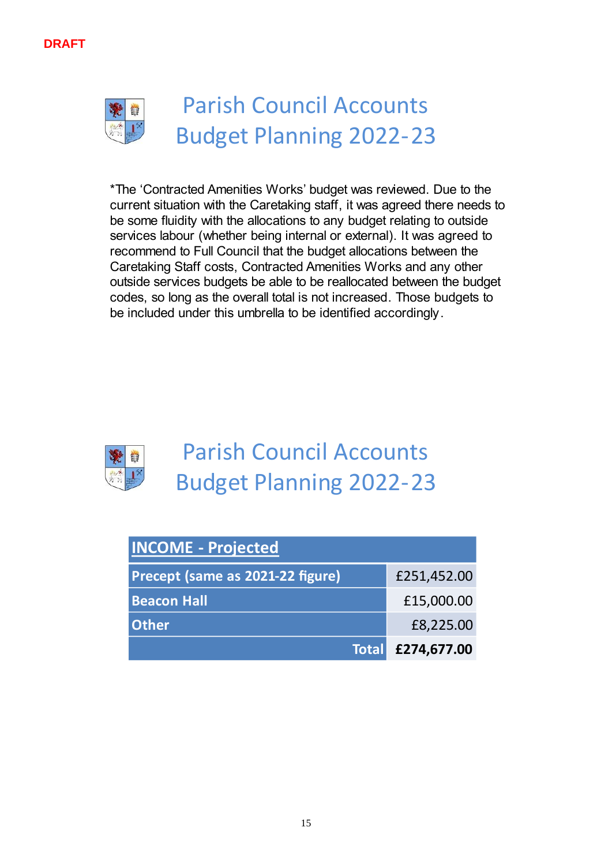



\*The 'Contracted Amenities Works' budget was reviewed. Due to the current situation with the Caretaking staff, it was agreed there needs to be some fluidity with the allocations to any budget relating to outside services labour (whether being internal or external). It was agreed to recommend to Full Council that the budget allocations between the Caretaking Staff costs, Contracted Amenities Works and any other outside services budgets be able to be reallocated between the budget codes, so long as the overall total is not increased. Those budgets to be included under this umbrella to be identified accordingly.



| <b>INCOME - Projected</b>        |                   |
|----------------------------------|-------------------|
| Precept (same as 2021-22 figure) | £251,452.00       |
| <b>Beacon Hall</b>               | £15,000.00        |
| <b>Other</b>                     | £8,225.00         |
|                                  | Total £274,677.00 |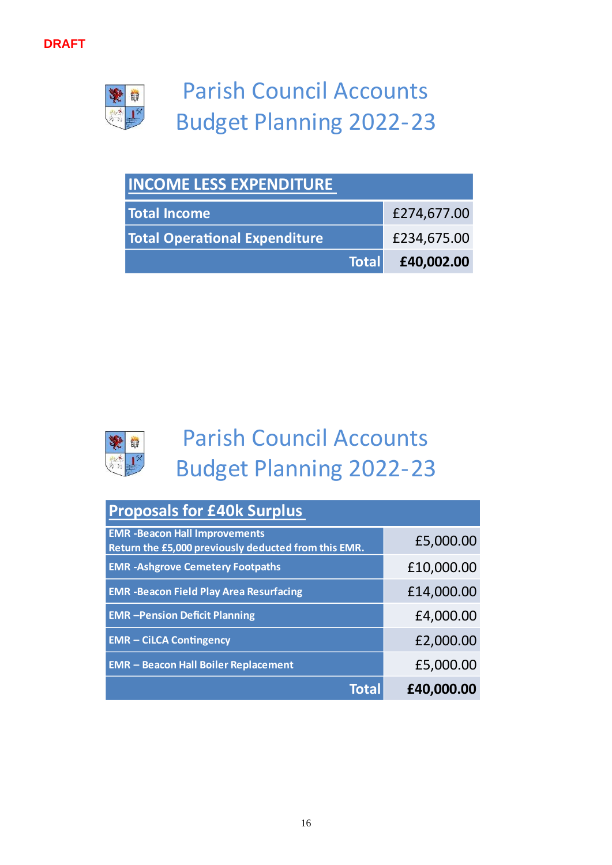

| <b>INCOME LESS EXPENDITURE</b>       |                  |  |
|--------------------------------------|------------------|--|
| <b>Total Income</b>                  | £274,677.00      |  |
| <b>Total Operational Expenditure</b> | £234,675.00      |  |
|                                      | Total £40,002.00 |  |



| <b>Proposals for £40k Surplus</b>                                                            |            |  |
|----------------------------------------------------------------------------------------------|------------|--|
| <b>EMR</b> -Beacon Hall Improvements<br>Return the £5,000 previously deducted from this EMR. | £5,000.00  |  |
| <b>EMR -Ashgrove Cemetery Footpaths</b>                                                      | £10,000.00 |  |
| <b>EMR - Beacon Field Play Area Resurfacing</b>                                              | £14,000.00 |  |
| <b>EMR</b> - Pension Deficit Planning                                                        | £4,000.00  |  |
| <b>EMR - CILCA Contingency</b>                                                               | £2,000.00  |  |
| <b>EMR - Beacon Hall Boiler Replacement</b>                                                  | £5,000.00  |  |
| Total                                                                                        | £40,000.00 |  |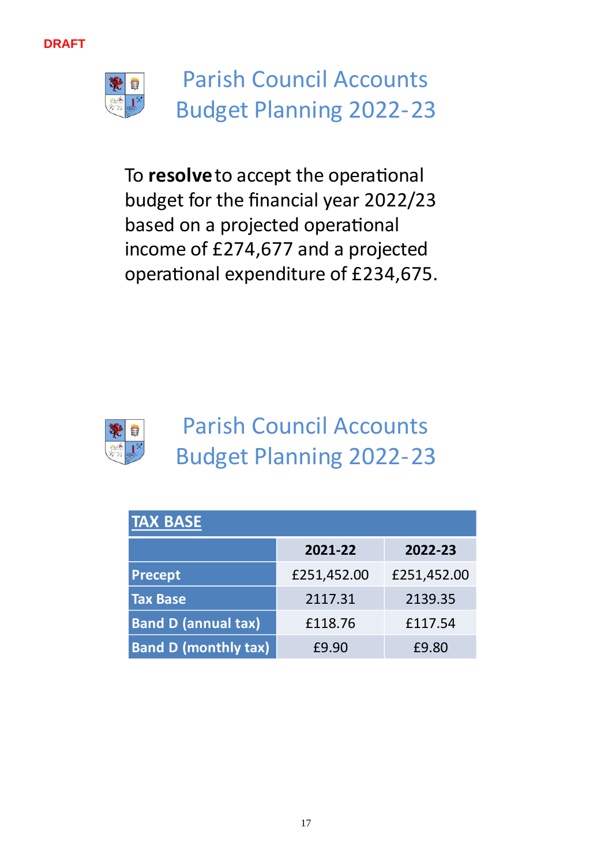



To resolve to accept the operational budget for the financial year 2022/23 based on a projected operational income of £274,677 and a projected i operational expenditure of £234,675.



| <b>TAX BASE</b>             |             |             |  |
|-----------------------------|-------------|-------------|--|
|                             | 2021-22     | 2022-23     |  |
| <b>Precept</b>              | £251,452.00 | £251,452.00 |  |
| <b>Tax Base</b>             | 2117.31     | 2139.35     |  |
| <b>Band D (annual tax)</b>  | £118.76     | £117.54     |  |
| <b>Band D (monthly tax)</b> | £9.90       | £9.80       |  |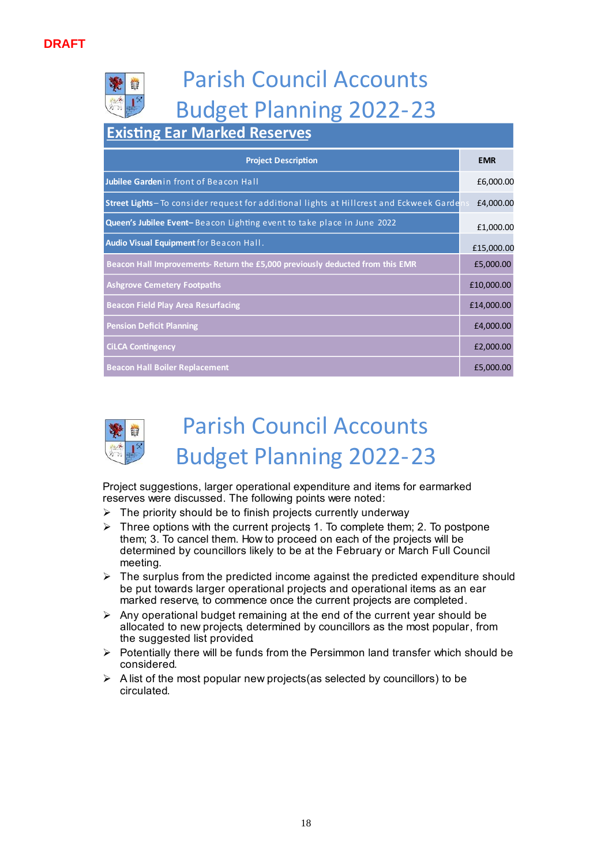### **Existing Ear Marked Reserves**

| <b>Project Description</b>                                                             | <b>EMR</b> |
|----------------------------------------------------------------------------------------|------------|
| Jubilee Gardenin front of Beacon Hall                                                  | £6,000.00  |
| Street Lights-To consider request for additional lights at Hillcrest and Eckweek Garde | £4,000.00  |
| Queen's Jubilee Event-Beacon Lighting event to take place in June 2022                 | £1,000.00  |
| Audio Visual Equipment for Beacon Hall.                                                | £15,000.00 |
| Beacon Hall Improvements- Return the £5,000 previously deducted from this EMR          | £5,000.00  |
| <b>Ashgrove Cemetery Footpaths</b>                                                     | £10,000.00 |
| <b>Beacon Field Play Area Resurfacing</b>                                              | £14,000.00 |
| <b>Pension Deficit Planning</b>                                                        | £4,000.00  |
| <b>CILCA Contingency</b>                                                               | £2,000.00  |
| <b>Beacon Hall Boiler Replacement</b>                                                  | £5,000.00  |



### **Parish Council Accounts Budget Planning 2022-23**

Project suggestions, larger operational expenditure and items for earmarked reserves were discussed. The following points were noted:

- $\triangleright$  The priority should be to finish projects currently underway.
- $\triangleright$  Three options with the current projects 1. To complete them: 2. To postpone them; 3. To cancel them. How to proceed on each of the projects will be determined by councillors likely to be at the February or March Full Council meeting.
- $\triangleright$  The surplus from the predicted income against the predicted expenditure should be put towards larger operational projects and operational items as an ear marked reserve, to commence once the current projects are completed.
- $\triangleright$  Any operational budget remaining at the end of the current year should be allocated to new projects, determined by councillors as the most popular, from the suggested list provided.
- $\triangleright$  Potentially there will be funds from the Persimmon land transfer which should be considered.
- $\triangleright$  A list of the most popular new projects (as selected by councillors) to be circulated.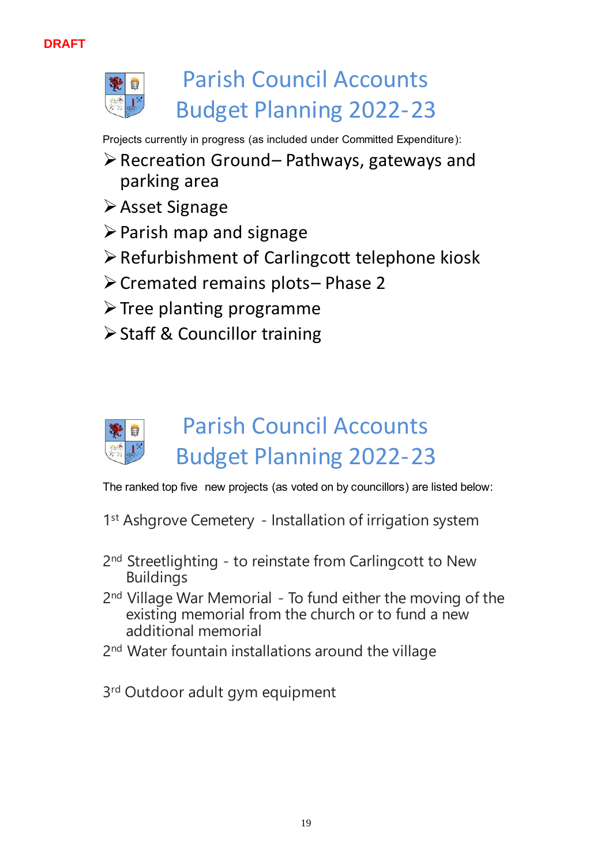

Projects currently in progress (as included under Committed Expenditure):

- $\triangleright$  Recreation Ground-Pathways, gateways and parking area
- ≻ Asset Signage
- $\triangleright$  Parish map and signage
- > Refurbishment of Carlingcott telephone kiosk
- > Cremated remains plots-Phase 2
- $\triangleright$  Tree planting programme
- > Staff & Councillor training

## **Parish Council Accounts Budget Planning 2022-23**

The ranked top five new projects (as voted on by councillors) are listed below:

- 1<sup>st</sup> Ashgrove Cemetery Installation of irrigation system
- 2<sup>nd</sup> Streetlighting to reinstate from Carlingcott to New **Buildings**
- 2<sup>nd</sup> Village War Memorial To fund either the moving of the existing memorial from the church or to fund a new additional memorial
- 2<sup>nd</sup> Water fountain installations around the village
- 3<sup>rd</sup> Outdoor adult gym equipment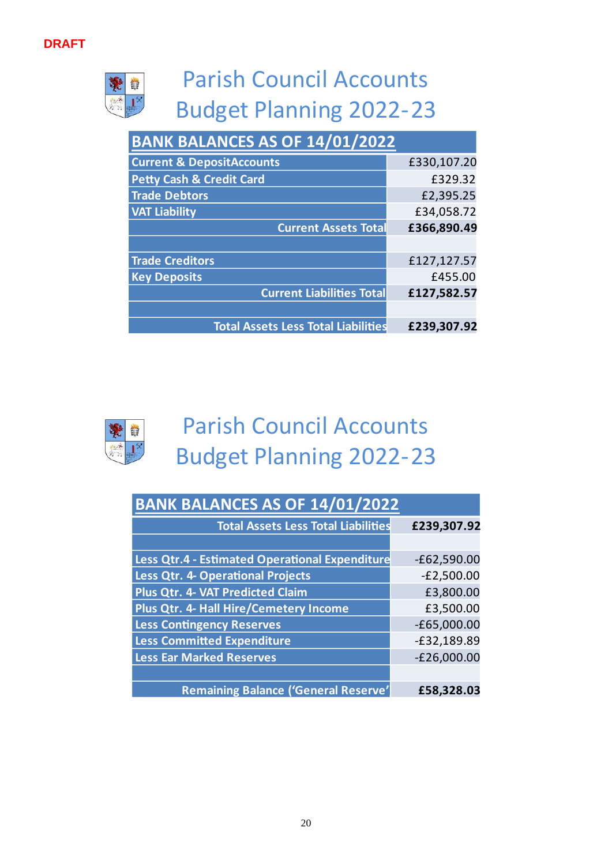侍

## **Parish Council Accounts Budget Planning 2022-23**

| BANK BALANCES AS OF 14/01/2022             |             |  |
|--------------------------------------------|-------------|--|
| <b>Current &amp; DepositAccounts</b>       | £330,107.20 |  |
| <b>Petty Cash &amp; Credit Card</b>        | £329.32     |  |
| <b>Trade Debtors</b>                       | £2,395.25   |  |
| <b>VAT Liability</b>                       | £34,058.72  |  |
| <b>Current Assets Total</b>                | £366,890.49 |  |
|                                            |             |  |
| <b>Trade Creditors</b>                     | £127,127.57 |  |
| <b>Key Deposits</b>                        | £455.00     |  |
| <b>Current Liabilities Total</b>           | £127,582.57 |  |
|                                            |             |  |
| <b>Total Assets Less Total Liabilities</b> | £239,307.92 |  |



| <b>BANK BALANCES AS OF 14/01/2022</b>          |               |  |
|------------------------------------------------|---------------|--|
| <b>Total Assets Less Total Liabilities</b>     | £239,307.92   |  |
|                                                |               |  |
| Less Qtr.4 - Estimated Operational Expenditure | $-£62,590.00$ |  |
| <b>Less Qtr. 4- Operational Projects</b>       | $-E2,500.00$  |  |
| Plus Qtr. 4- VAT Predicted Claim               | £3,800.00     |  |
| Plus Qtr. 4- Hall Hire/Cemetery Income         | £3,500.00     |  |
| <b>Less Contingency Reserves</b>               | $-£65,000.00$ |  |
| <b>Less Committed Expenditure</b>              | $-E32,189.89$ |  |
| <b>Less Ear Marked Reserves</b>                | $-E26,000.00$ |  |
|                                                |               |  |
| <b>Remaining Balance ('General Reserve'</b>    | £58,328.03    |  |